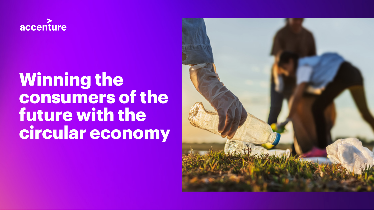

# **Winning the consumers of the future with the circular economy**

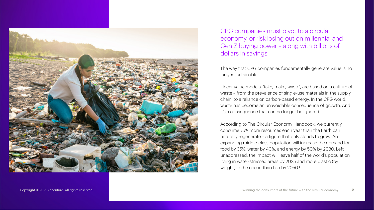

CPG companies must pivot to a circular economy, or risk losing out on millennial and Gen Z buying power – along with billions of dollars in savings.

The way that CPG companies fundamentally generate value is no longer sustainable.

Linear value models, 'take, make, waste', are based on a culture of waste – from the prevalence of single-use materials in the supply chain, to a reliance on carbon-based energy. In the CPG world, waste has become an unavoidable consequence of growth. And it's a consequence that can no longer be ignored.

According to The Circular Economy Handbook, we currently consume 75% more resources each year than the Earth can naturally regenerate – a figure that only stands to grow. An expanding middle-class population will increase the demand for food by 35%, water by 40%, and energy by 50% by 2030. Left unaddressed, the impact will leave half of the world's population living in water-stressed areas by 2025 and more plastic (by weight) in the ocean than fish by 2050.<sup>1</sup>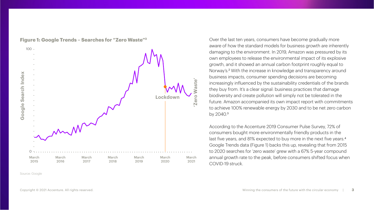

**Figure 1: Google Trends – Searches for "Zero Waste"3**

Source: Google

Over the last ten years, consumers have become gradually more aware of how the standard models for business growth are inherently damaging to the environment. In 2019, Amazon was pressured by its own employees to release the environmental impact of its explosive growth, and it showed an annual carbon footprint roughly equal to Norway's.<sup>2</sup> With the increase in knowledge and transparency around business impacts, consumer spending decisions are becoming increasingly influenced by the sustainability credentials of the brands they buy from. It's a clear signal: business practices that damage biodiversity and create pollution will simply not be tolerated in the future. Amazon accompanied its own impact report with commitments to achieve 100% renewable energy by 2030 and to be net zero carbon by 2040.<sup>3</sup>

According to the Accenture 2019 Consumer Pulse Survey, 72% of consumers bought more environmentally friendly products in the last five years, and 81% expected to buy more in the next five years.<sup>4</sup> Google Trends data (Figure 1) backs this up, revealing that from 2015 to 2020 searches for 'zero waste' grew with a 67% 5-year compound annual growth rate to the peak, before consumers shifted focus when COVID-19 struck.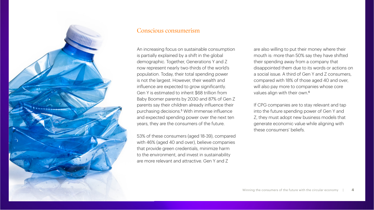

# Conscious consumerism

An increasing focus on sustainable consumption is partially explained by a shift in the global demographic. Together, Generations Y and Z now represent nearly two-thirds of the world's population. Today, their total spending power is not the largest. However, their wealth and influence are expected to grow significantly. Gen Y is estimated to inherit \$68 trillion from Baby Boomer parents by 2030 and 87% of Gen Z parents say their children already influence their purchasing decisions.5 With immense influence and expected spending power over the next ten years, they are the consumers of the future.

53% of these consumers (aged 18-39), compared with 46% (aged 40 and over), believe companies that provide green credentials, minimize harm to the environment, and invest in sustainability are more relevant and attractive. Gen Y and Z

are also willing to put their money where their mouth is: more than 50% say they have shifted their spending away from a company that disappointed them due to its words or actions on a social issue. A third of Gen Y and Z consumers, compared with 18% of those aged 40 and over, will also pay more to companies whose core values align with their own.<sup>6</sup>

If CPG companies are to stay relevant and tap into the future spending power of Gen Y and Z, they must adopt new business models that generate economic value while aligning with these consumers' beliefs.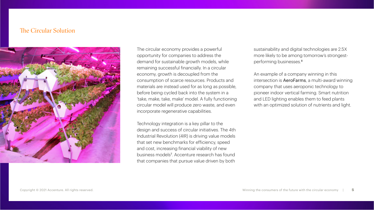# The Circular Solution



The circular economy provides a powerful opportunity for companies to address the demand for sustainable growth models, while remaining successful financially. In a circular economy, growth is decoupled from the consumption of scarce resources. Products and materials are instead used for as long as possible, before being cycled back into the system in a 'take, make, take, make' model. A fully functioning circular model will produce zero waste, and even incorporate regenerative capabilities.

Technology integration is a key pillar to the design and success of circular initiatives. The 4th Industrial Revolution (4IR) is driving value models that set new benchmarks for efficiency, speed and cost, increasing financial viability of new business models<sup>7</sup> . Accenture research has found that companies that pursue value driven by both

sustainability and digital technologies are 2.5X more likely to be among tomorrow's strongestperforming businesses.<sup>8</sup>

An example of a company winning in this intersection is [AeroFarms](https://www.youtube.com/watch?v=ME_rprRlmMM&t=170s), a multi-award winning company that uses aeroponic technology to pioneer indoor vertical farming. Smart nutrition and LED lighting enables them to feed plants with an optimized solution of nutrients and light.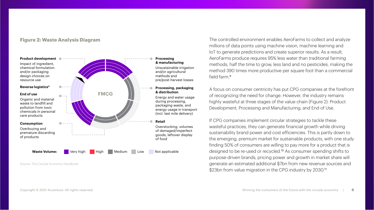## **Figure 2: Waste Analysis Diagram**



Source: The Circular Economy Handbook

#### **Processing & manufacturing**

Unsustainable irrigation and/or agricultural methods and pre/post-harvest losses

#### **Processing, packaging & distribution**

Energy and water usage during processing. packaging waste, and energy usage in transport (incl. last mile delivery)

Overstocking, volumes of damaged/imperfect goods, leftover display of food

The controlled environment enables AeroFarms to collect and analyze millions of data points using machine vision, machine learning and IoT to generate predictions and create superior results. As a result, AeroFarms produce requires 95% less water than traditional farming methods, half the time to grow, less land and no pesticides, making the method 390 times more productive per square foot than a commercial field farm<sup>9</sup>

A focus on consumer centricity has put CPG companies at the forefront of recognizing the need for change. However, the industry remains highly wasteful at three stages of the value chain (Figure 2): Product Development, Processing and Manufacturing, and End of Use.

If CPG companies implement circular strategies to tackle these wasteful practices, they can generate financial growth while driving sustainability brand power and cost efficiencies. This is partly down to the emerging, premium market for sustainable products, with one study finding 50% of consumers are willing to pay more for a product that is designed to be re-used or recycled.10 As consumer spending shifts to purpose-driven brands, pricing power and growth in market share will generate an estimated additional \$7bn from new revenue sources and \$23bn from value migration in the CPG industry by 2030.<sup>11</sup>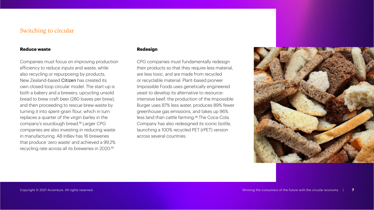# Switching to circular

#### **Reduce waste**

Companies must focus on improving production efficiency to reduce inputs and waste, while also recycling or repurposing by-products. New Zealand-based [Citizen](https://www.youtube.com/watch?v=mJkAFqjj-Dg) has created its own closed-loop circular model. The start-up is both a bakery and a brewery, upcycling unsold bread to brew craft beer (280 loaves per brew), and then proceeding to rescue brew-waste by turning it into spent-grain flour, which in turn replaces a quarter of the virgin barley in the company's sourdough bread.12 Larger CPG companies are also investing in reducing waste in manufacturing. AB InBev has 16 breweries that produce 'zero waste' and achieved a 99.2% recycling rate across all its breweries in 2020.<sup>13</sup>

### **Redesign**

CPG companies must fundamentally redesign their products so that they require less material, are less toxic, and are made from recycled or recyclable material. Plant-based pioneer Impossible Foods uses genetically engineered yeast to develop its alternative to resourceintensive beef: the production of the Impossible Burger uses 87% less water, produces 89% fewer greenhouse gas emissions, and takes up 96% less land than cattle farming.14 The Coca-Cola Company has also redesigned its iconic bottle, launching a 100% recycled PET (rPET) version across several countries.

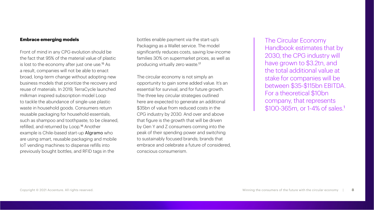### **Embrace emerging models**

Front of mind in any CPG evolution should be the fact that 95% of the material value of plastic is lost to the economy after just one use.<sup>15</sup> As a result, companies will not be able to enact broad, long-term change without adopting new business models that prioritize the recovery and reuse of materials. In 2019, TerraCycle launched milkman inspired subscription model Loop to tackle the abundance of single-use plastic waste in household goods. Consumers return reusable packaging for household essentials, such as shampoo and toothpaste, to be cleaned, refilled, and returned by Loop.16 Another example is Chile-based start-up [Algramo](https://www.youtube.com/watch?v=d00CrSr2NcY) who are using smart, reusable packaging and mobile IoT vending machines to dispense refills into previously bought bottles, and RFID tags in the

bottles enable payment via the start-up's Packaging as a Wallet service. The model significantly reduces costs, saving low-income families 30% on supermarket prices, as well as producing virtually zero waste.<sup>17</sup>

The circular economy is not simply an opportunity to gain some added value. It's an essential for survival, and for future growth. The three key circular strategies outlined here are expected to generate an additional \$35bn of value from reduced costs in the CPG industry by 2030. And over and above that figure is the growth that will be driven by Gen Y and Z consumers coming into the peak of their spending power and switching to sustainably focused brands; brands that embrace and celebrate a future of considered, conscious consumerism.

The Circular Economy Handbook estimates that by 2030, the CPG industry will have grown to \$3.2tn, and the total additional value at stake for companies will be between \$35-\$115bn EBITDA. For a theoretical \$10bn company, that represents \$100-365m, or 1-4% of sales.<sup>1</sup>